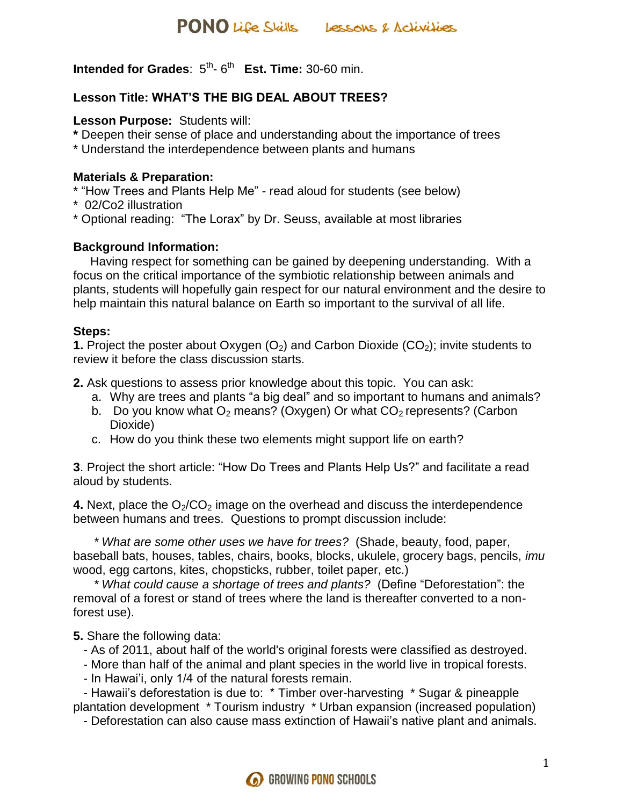**Intended for Grades:**  $5^{th}$ **-**  $6^{th}$  **Est. Time: 30-60 min.** 

# **Lesson Title: WHAT'S THE BIG DEAL ABOUT TREES?**

#### **Lesson Purpose:** Students will:

- **\*** Deepen their sense of place and understanding about the importance of trees
- \* Understand the interdependence between plants and humans

#### **Materials & Preparation:**

- \* "How Trees and Plants Help Me" read aloud for students (see below)
- \* 02/Co2 illustration
- \* Optional reading: "The Lorax" by Dr. Seuss, available at most libraries

# **Background Information:**

 Having respect for something can be gained by deepening understanding. With a focus on the critical importance of the symbiotic relationship between animals and plants, students will hopefully gain respect for our natural environment and the desire to help maintain this natural balance on Earth so important to the survival of all life.

# **Steps:**

**1.** Project the poster about Oxygen  $(O_2)$  and Carbon Dioxide  $(CO_2)$ ; invite students to review it before the class discussion starts.

**2.** Ask questions to assess prior knowledge about this topic. You can ask:

- a. Why are trees and plants "a big deal" and so important to humans and animals?
- b. Do you know what  $O_2$  means? (Oxygen) Or what  $CO_2$  represents? (Carbon Dioxide)
- c. How do you think these two elements might support life on earth?

**3**. Project the short article: "How Do Trees and Plants Help Us?" and facilitate a read aloud by students.

**4.** Next, place the  $O<sub>2</sub>/CO<sub>2</sub>$  image on the overhead and discuss the interdependence between humans and trees. Questions to prompt discussion include:

 *\* What are some other uses we have for trees?* (Shade, beauty, food, paper, baseball bats, houses, tables, chairs, books, blocks, ukulele, grocery bags, pencils, *imu*  wood, egg cartons, kites, chopsticks, rubber, toilet paper, etc.)

 *\* What could cause a shortage of trees and plants?* (Define "Deforestation": the removal of a forest or stand of trees where the land is thereafter converted to a nonforest use).

**5.** Share the following data:

- As of 2011, about half of the world's original forests were classified as destroyed.
- More than half of the animal and plant species in the world live in tropical forests.
- In Hawai'i, only 1/4 of the natural forests remain.

 - Hawaii's deforestation is due to: \* Timber over-harvesting \* Sugar & pineapple plantation development \* Tourism industry \* Urban expansion (increased population)

- Deforestation can also cause mass extinction of Hawaii's native plant and animals.

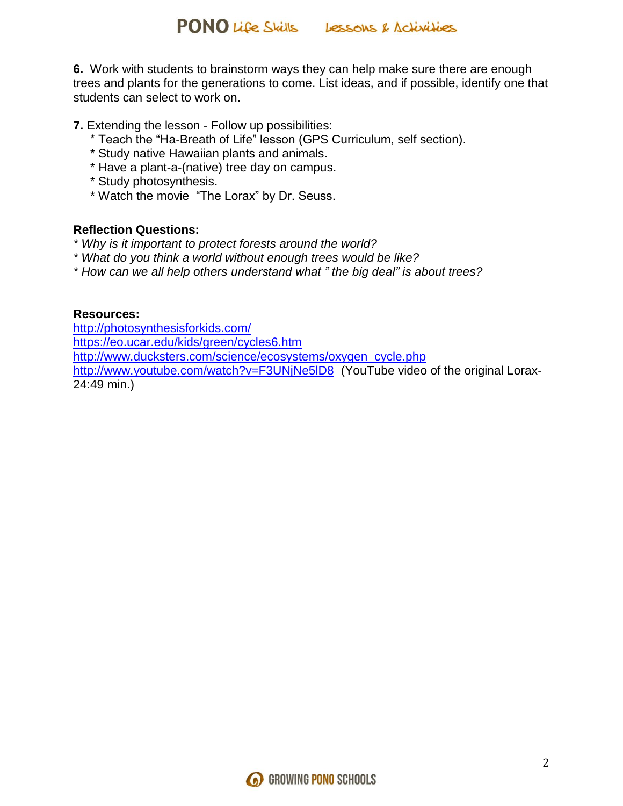**6.** Work with students to brainstorm ways they can help make sure there are enough trees and plants for the generations to come. List ideas, and if possible, identify one that students can select to work on.

**7.** Extending the lesson - Follow up possibilities:

- \* Teach the "Ha-Breath of Life" lesson (GPS Curriculum, self section).
- \* Study native Hawaiian plants and animals.
- \* Have a plant-a-(native) tree day on campus.
- \* Study photosynthesis.
- \* Watch the movie "The Lorax" by Dr. Seuss.

#### **Reflection Questions:**

- *\* Why is it important to protect forests around the world?*
- *\* What do you think a world without enough trees would be like?*
- *\* How can we all help others understand what " the big deal" is about trees?*

#### **Resources:**

<http://photosynthesisforkids.com/> <https://eo.ucar.edu/kids/green/cycles6.htm> [http://www.ducksters.com/science/ecosystems/oxygen\\_cycle.php](http://www.ducksters.com/science/ecosystems/oxygen_cycle.php) <http://www.youtube.com/watch?v=F3UNjNe5lD8> (YouTube video of the original Lorax-24:49 min.)